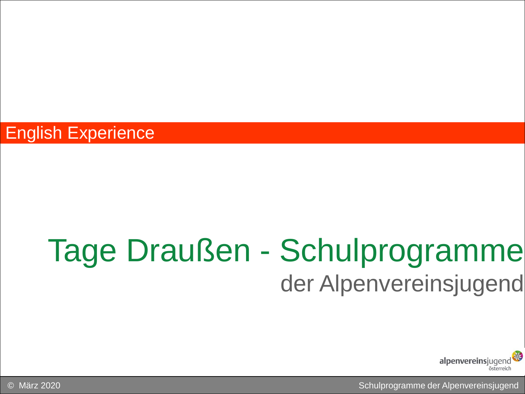### Tage Draußen - Schulprogramme der Alpenvereinsjugend



© März 2020 Schulprogramme der Alpenvereinsjugend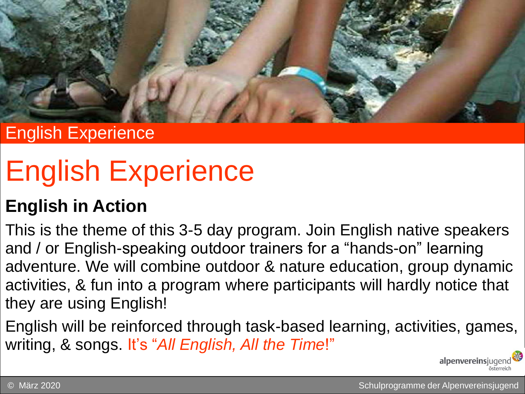

# English Experience

### **English in Action**

This is the theme of this 3-5 day program. Join English native speakers and / or English-speaking outdoor trainers for a "hands-on" learning adventure. We will combine outdoor & nature education, group dynamic activities, & fun into a program where participants will hardly notice that they are using English!

English will be reinforced through task-based learning, activities, games, writing, & songs. It's "*All English, All the Time*!"

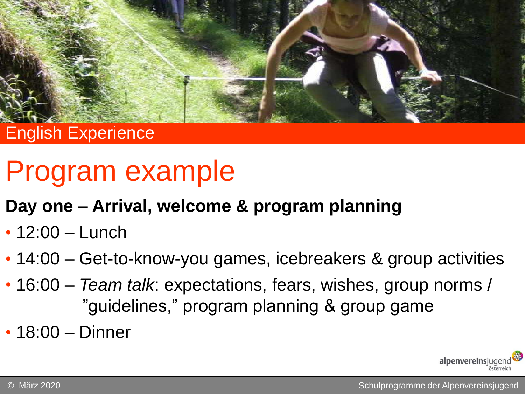

## Program example

### **Day one – Arrival, welcome & program planning**

- 12:00 Lunch
- 14:00 Get-to-know-you games, icebreakers & group activities
- 16:00 *Team talk*: expectations, fears, wishes, group norms / "guidelines," program planning & group game
- 18:00 Dinner

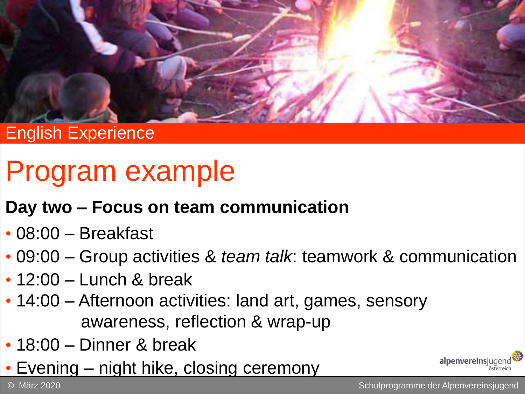

## Program example

#### **Day two – Focus on team communication**

- 08:00 Breakfast
- 09:00 Group activities & *team talk*: teamwork & communication
- $\cdot$  12:00 Lunch & break
- 14:00 Afternoon activities: land art, games, sensory awareness, reflection & wrap-up
- 18:00 Dinner & break
- Evening night hike, closing ceremony

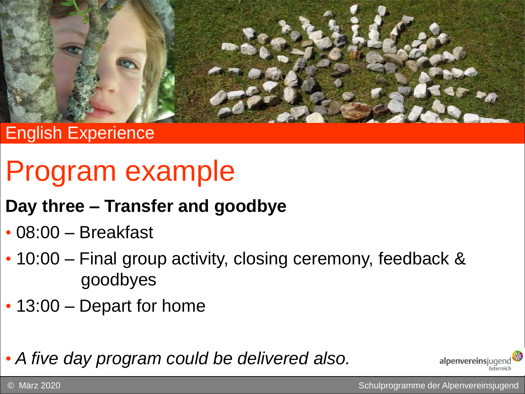

## Program example

#### **Day three – Transfer and goodbye**

- 08:00 Breakfast
- 10:00 Final group activity, closing ceremony, feedback & goodbyes
- 13:00 Depart for home

• *A five day program could be delivered also.*

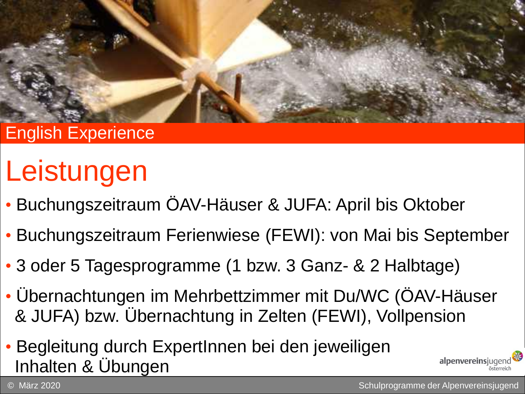

# Leistungen

- Buchungszeitraum ÖAV-Häuser & JUFA: April bis Oktober
- Buchungszeitraum Ferienwiese (FEWI): von Mai bis September
- 3 oder 5 Tagesprogramme (1 bzw. 3 Ganz- & 2 Halbtage)
- Übernachtungen im Mehrbettzimmer mit Du/WC (ÖAV-Häuser & JUFA) bzw. Übernachtung in Zelten (FEWI), Vollpension
- Begleitung durch ExpertInnen bei den jeweiligen Inhalten & Übungen

© März 2020 Schulprogramme der Alpenvereinsjugend

alpenvereinsjuger